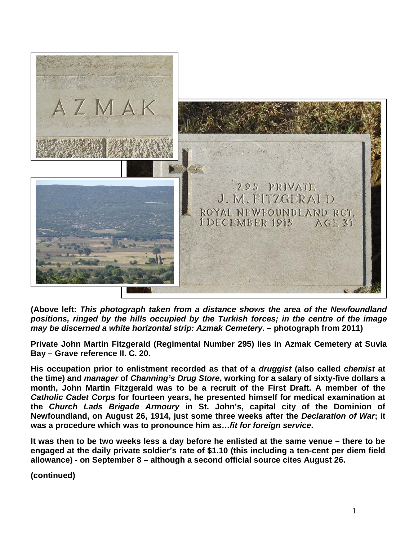

**(Above left:** *This photograph taken from a distance shows the area of the Newfoundland positions, ringed by the hills occupied by the Turkish forces; in the centre of the image may be discerned a white horizontal strip: Azmak Cemetery***. – photograph from 2011)**

**Private John Martin Fitzgerald (Regimental Number 295) lies in Azmak Cemetery at Suvla Bay – Grave reference II. C. 20.**

**His occupation prior to enlistment recorded as that of a** *druggist* **(also called** *chemist* **at the time) and** *manager* **of** *Channing's Drug Store***, working for a salary of sixty-five dollars a month, John Martin Fitzgerald was to be a recruit of the First Draft. A member of the**  *Catholic Cadet Corps* **for fourteen years, he presented himself for medical examination at the** *Church Lads Brigade Armoury* **in St. John's, capital city of the Dominion of Newfoundland, on August 26, 1914, just some three weeks after the** *Declaration of War***; it was a procedure which was to pronounce him as…***fit for foreign service***.**

**It was then to be two weeks less a day before he enlisted at the same venue – there to be engaged at the daily private soldier's rate of \$1.10 (this including a ten-cent per diem field allowance) - on September 8 – although a second official source cites August 26.**

**(continued)**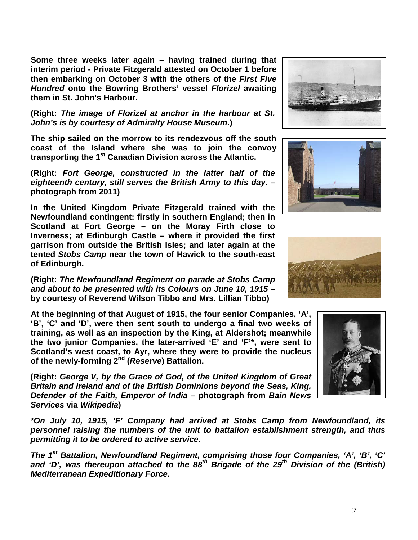**Some three weeks later again – having trained during that interim period - Private Fitzgerald attested on October 1 before then embarking on October 3 with the others of the** *First Five Hundred* **onto the Bowring Brothers' vessel** *Florizel* **awaiting them in St. John's Harbour.** 

**(Right:** *The image of Florizel at anchor in the harbour at St. John's is by courtesy of Admiralty House Museum***.)**

**The ship sailed on the morrow to its rendezvous off the south coast of the Island where she was to join the convoy transporting the 1st Canadian Division across the Atlantic.**

**(Right:** *Fort George, constructed in the latter half of the eighteenth century, still serves the British Army to this day***. – photograph from 2011)**

**In the United Kingdom Private Fitzgerald trained with the Newfoundland contingent: firstly in southern England; then in Scotland at Fort George – on the Moray Firth close to Inverness; at Edinburgh Castle – where it provided the first garrison from outside the British Isles; and later again at the tented** *Stobs Camp* **near the town of Hawick to the south-east of Edinburgh.**

**(Right:** *The Newfoundland Regiment on parade at Stobs Camp and about to be presented with its Colours on June 10, 1915* **– by courtesy of Reverend Wilson Tibbo and Mrs. Lillian Tibbo)**

**At the beginning of that August of 1915, the four senior Companies, 'A', 'B', 'C' and 'D', were then sent south to undergo a final two weeks of training, as well as an inspection by the King, at Aldershot; meanwhile the two junior Companies, the later-arrived 'E' and 'F'\*, were sent to Scotland's west coast, to Ayr, where they were to provide the nucleus of the newly-forming 2nd (***Reserve***) Battalion.**

**(Right:** *George V, by the Grace of God, of the United Kingdom of Great Britain and Ireland and of the British Dominions beyond the Seas, King, Defender of the Faith, Emperor of India* **– photograph from** *Bain News Services* **via** *Wikipedia***)**

*\*On July 10, 1915, 'F' Company had arrived at Stobs Camp from Newfoundland, its personnel raising the numbers of the unit to battalion establishment strength, and thus permitting it to be ordered to active service.*

*The 1st Battalion, Newfoundland Regiment, comprising those four Companies, 'A', 'B', 'C'*  and 'D', was thereupon attached to the 88<sup>th</sup> Brigade of the 29<sup>th</sup> Division of the (British) *Mediterranean Expeditionary Force.*







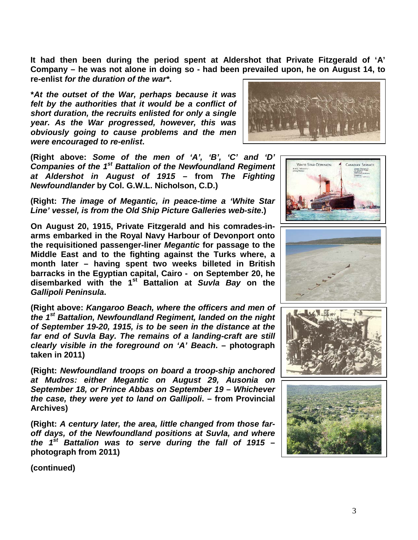**It had then been during the period spent at Aldershot that Private Fitzgerald of 'A' Company – he was not alone in doing so - had been prevailed upon, he on August 14, to re-enlist** *for the duration of the war\****.** 

**\****At the outset of the War, perhaps because it was felt by the authorities that it would be a conflict of short duration, the recruits enlisted for only a single year. As the War progressed, however, this was obviously going to cause problems and the men were encouraged to re-enlist***.**

**(Right above:** *Some of the men of 'A', 'B', 'C' and 'D' Companies of the 1st Battalion of the Newfoundland Regiment at Aldershot in August of 1915* **– from** *The Fighting Newfoundlander* **by Col. G.W.L. Nicholson, C.D.)**

**(Right:** *The image of Megantic, in peace-time a 'White Star Line' vessel, is from the Old Ship Picture Galleries web-site***.)**

**On August 20, 1915, Private Fitzgerald and his comrades-inarms embarked in the Royal Navy Harbour of Devonport onto the requisitioned passenger-liner** *Megantic* **for passage to the Middle East and to the fighting against the Turks where, a month later – having spent two weeks billeted in British barracks in the Egyptian capital, Cairo - on September 20, he disembarked with the 1st Battalion at** *Suvla Bay* **on the**  *Gallipoli Peninsula***.**

**(Right above:** *Kangaroo Beach, where the officers and men of the 1st Battalion, Newfoundland Regiment, landed on the night of September 19-20, 1915, is to be seen in the distance at the far end of Suvla Bay. The remains of a landing-craft are still clearly visible in the foreground on 'A' Beach***. – photograph taken in 2011)**

**(Right:** *Newfoundland troops on board a troop-ship anchored at Mudros: either Megantic on August 29, Ausonia on September 18, or Prince Abbas on September 19 – Whichever the case, they were yet to land on Gallipoli***. – from Provincial Archives)**

**(Right:** *A century later, the area, little changed from those faroff days, of the Newfoundland positions at Suvla, and where the 1st Battalion was to serve during the fall of 1915* **– photograph from 2011)**











**(continued)**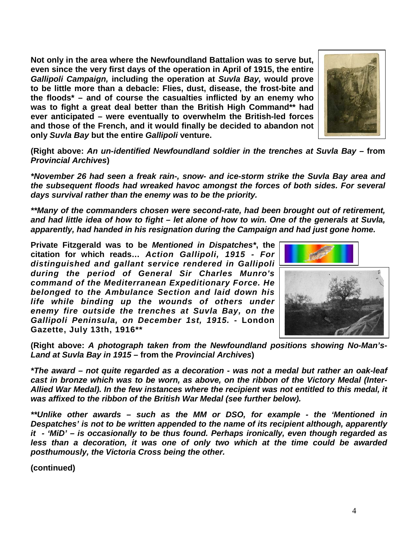**Not only in the area where the Newfoundland Battalion was to serve but, even since the very first days of the operation in April of 1915, the entire**  *Gallipoli Campaign,* **including the operation at** *Suvla Bay,* **would prove to be little more than a debacle: Flies, dust, disease, the frost-bite and the floods\* – and of course the casualties inflicted by an enemy who was to fight a great deal better than the British High Command\*\* had ever anticipated – were eventually to overwhelm the British-led forces and those of the French, and it would finally be decided to abandon not only** *Suvla Bay* **but the entire** *Gallipoli* **venture.**



*\*November 26 had seen a freak rain-, snow- and ice-storm strike the Suvla Bay area and the subsequent floods had wreaked havoc amongst the forces of both sides. For several days survival rather than the enemy was to be the priority.*

*\*\*Many of the commanders chosen were second-rate, had been brought out of retirement, and had little idea of how to fight – let alone of how to win. One of the generals at Suvla, apparently, had handed in his resignation during the Campaign and had just gone home.* 

**Private Fitzgerald was to be** *Mentioned in Dispatches\****, the citation for which reads…** *Action Gallipoli, 1915 - For distinguished and gallant service rendered in Gallipoli during the period of General Sir Charles Munro's command of the Mediterranean Expeditionary Force. He belonged to the Ambulance Section and laid down his life while binding up the wounds of others under enemy fire outside the trenches at Suvla Bay, on the Gallipoli Peninsula, on December 1st, 1915.* **- London Gazette, July 13th, 1916\*\***

**(Right above:** *A photograph taken from the Newfoundland positions showing No-Man's-Land at Suvla Bay in 1915* **– from the** *Provincial Archives***)**

*\*The award – not quite regarded as a decoration - was not a medal but rather an oak-leaf cast in bronze which was to be worn, as above, on the ribbon of the Victory Medal (Inter-Allied War Medal). In the few instances where the recipient was not entitled to this medal, it was affixed to the ribbon of the British War Medal (see further below).* 

*\*\*Unlike other awards – such as the MM or DSO, for example - the 'Mentioned in Despatches' is not to be written appended to the name of its recipient although, apparently it - 'MiD' – is occasionally to be thus found. Perhaps ironically, even though regarded as*  less than a decoration, it was one of only two which at the time could be awarded *posthumously, the Victoria Cross being the other.*

**(continued)**